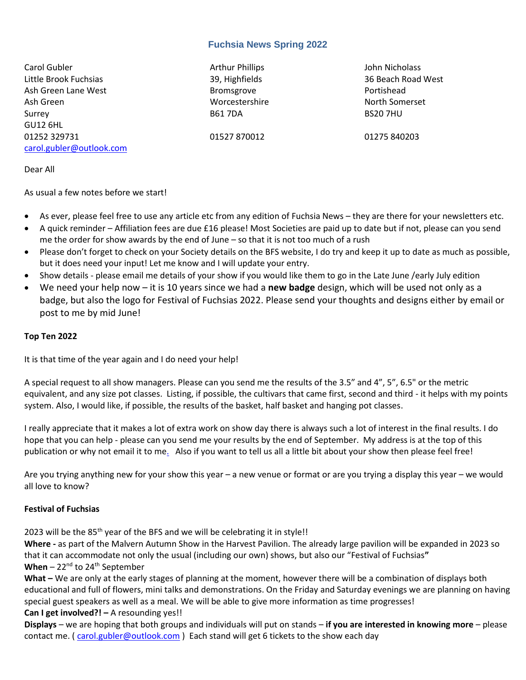#### **Fuchsia News Spring 2022**

Carol Gubler **Arthur Phillips** Arthur Phillips John Nicholass Little Brook Fuchsias 39, Highfields 36 Beach Road West Ash Green Lane West **Bromsgrove** Bromsgrove **Portishead** Ash Green Worcestershire North Somerset Surrey B61 7DA BS20 7HU GU12 6HL 01252 329731 01527 870012 01275 840203 [carol.gubler@outlook.com](mailto:carol.gubler@ntlbusiness.com)

Dear All

As usual a few notes before we start!

- As ever, please feel free to use any article etc from any edition of Fuchsia News they are there for your newsletters etc.
- A quick reminder Affiliation fees are due £16 please! Most Societies are paid up to date but if not, please can you send me the order for show awards by the end of June – so that it is not too much of a rush
- Please don't forget to check on your Society details on the BFS website, I do try and keep it up to date as much as possible, but it does need your input! Let me know and I will update your entry.
- Show details please email me details of your show if you would like them to go in the Late June /early July edition
- We need your help now it is 10 years since we had a **new badge** design, which will be used not only as a badge, but also the logo for Festival of Fuchsias 2022. Please send your thoughts and designs either by email or post to me by mid June!

#### **Top Ten 2022**

It is that time of the year again and I do need your help!

A special request to all show managers. Please can you send me the results of the 3.5" and 4", 5", 6.5" or the metric equivalent, and any size pot classes. Listing, if possible, the cultivars that came first, second and third - it helps with my points system. Also, I would like, if possible, the results of the basket, half basket and hanging pot classes.

I really appreciate that it makes a lot of extra work on show day there is always such a lot of interest in the final results. I do hope that you can help - please can you send me your results by the end of September. My address is at the top of this publication or why not email it t[o me.](mailto:carol@thebfs.org.uk) Also if you want to tell us all a little bit about your show then please feel free!

Are you trying anything new for your show this year – a new venue or format or are you trying a display this year – we would all love to know?

#### **Festival of Fuchsias**

2023 will be the  $85<sup>th</sup>$  year of the BFS and we will be celebrating it in style!!

**Where -** as part of the Malvern Autumn Show in the Harvest Pavilion. The already large pavilion will be expanded in 2023 so that it can accommodate not only the usual (including our own) shows, but also our "Festival of Fuchsias**"** When – 22<sup>nd</sup> to 24<sup>th</sup> September

**What –** We are only at the early stages of planning at the moment, however there will be a combination of displays both educational and full of flowers, mini talks and demonstrations. On the Friday and Saturday evenings we are planning on having special guest speakers as well as a meal. We will be able to give more information as time progresses!

#### **Can I get involved?!** - A resounding yes!!

**Displays** – we are hoping that both groups and individuals will put on stands – **if you are interested in knowing more** – please contact me. [\( carol.gubler@outlook.com](mailto:carol.gubler@outlook.com) ) Each stand will get 6 tickets to the show each day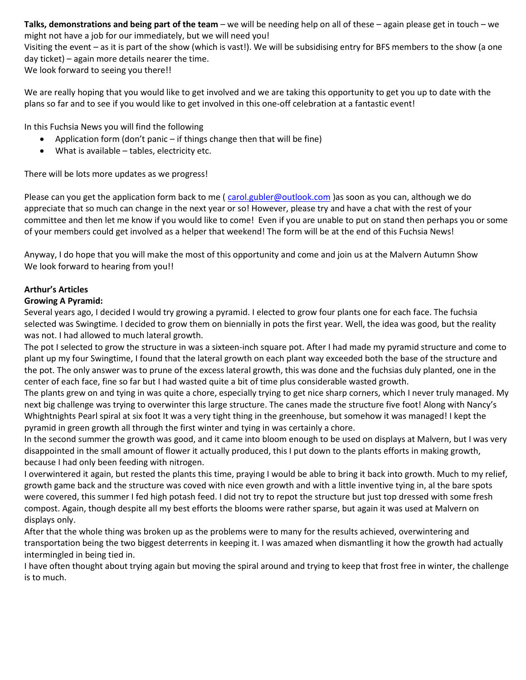**Talks, demonstrations and being part of the team** – we will be needing help on all of these – again please get in touch – we might not have a job for our immediately, but we will need you!

Visiting the event – as it is part of the show (which is vast!). We will be subsidising entry for BFS members to the show (a one day ticket) – again more details nearer the time.

We look forward to seeing you there!!

We are really hoping that you would like to get involved and we are taking this opportunity to get you up to date with the plans so far and to see if you would like to get involved in this one-off celebration at a fantastic event!

In this Fuchsia News you will find the following

- Application form (don't panic if things change then that will be fine)
- What is available tables, electricity etc.

There will be lots more updates as we progress!

Please can you get the application form back to me (carol.gubler@outlook.com) as soon as you can, although we do appreciate that so much can change in the next year or so! However, please try and have a chat with the rest of your committee and then let me know if you would like to come! Even if you are unable to put on stand then perhaps you or some of your members could get involved as a helper that weekend! The form will be at the end of this Fuchsia News!

Anyway, I do hope that you will make the most of this opportunity and come and join us at the Malvern Autumn Show We look forward to hearing from you!!

#### **Arthur's Articles**

#### **Growing A Pyramid:**

Several years ago, I decided I would try growing a pyramid. I elected to grow four plants one for each face. The fuchsia selected was Swingtime*.* I decided to grow them on biennially in pots the first year. Well, the idea was good, but the reality was not. I had allowed to much lateral growth.

The pot I selected to grow the structure in was a sixteen-inch square pot. After I had made my pyramid structure and come to plant up my four Swingtime, I found that the lateral growth on each plant way exceeded both the base of the structure and the pot. The only answer was to prune of the excess lateral growth, this was done and the fuchsias duly planted, one in the center of each face, fine so far but I had wasted quite a bit of time plus considerable wasted growth.

The plants grew on and tying in was quite a chore, especially trying to get nice sharp corners, which I never truly managed. My next big challenge was trying to overwinter this large structure. The canes made the structure five foot! Along with Nancy's Whightnights Pearl spiral at six foot It was a very tight thing in the greenhouse, but somehow it was managed! I kept the pyramid in green growth all through the first winter and tying in was certainly a chore.

In the second summer the growth was good, and it came into bloom enough to be used on displays at Malvern, but I was very disappointed in the small amount of flower it actually produced, this I put down to the plants efforts in making growth, because I had only been feeding with nitrogen.

I overwintered it again, but rested the plants this time, praying I would be able to bring it back into growth. Much to my relief, growth game back and the structure was coved with nice even growth and with a little inventive tying in, al the bare spots were covered, this summer I fed high potash feed. I did not try to repot the structure but just top dressed with some fresh compost. Again, though despite all my best efforts the blooms were rather sparse, but again it was used at Malvern on displays only.

After that the whole thing was broken up as the problems were to many for the results achieved, overwintering and transportation being the two biggest deterrents in keeping it. I was amazed when dismantling it how the growth had actually intermingled in being tied in.

I have often thought about trying again but moving the spiral around and trying to keep that frost free in winter, the challenge is to much.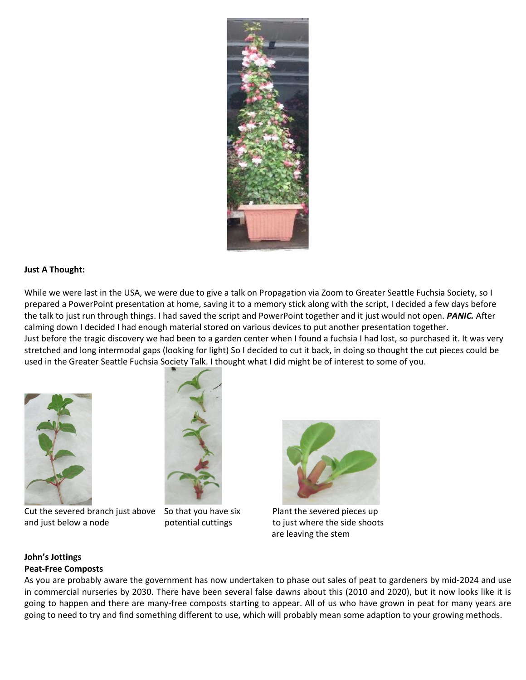

#### **Just A Thought:**

While we were last in the USA, we were due to give a talk on Propagation via Zoom to Greater Seattle Fuchsia Society, so I prepared a PowerPoint presentation at home, saving it to a memory stick along with the script, I decided a few days before the talk to just run through things. I had saved the script and PowerPoint together and it just would not open. *PANIC.* After calming down I decided I had enough material stored on various devices to put another presentation together. Just before the tragic discovery we had been to a garden center when I found a fuchsia I had lost, so purchased it. It was very stretched and long intermodal gaps (looking for light) So I decided to cut it back, in doing so thought the cut pieces could be used in the Greater Seattle Fuchsia Society Talk. I thought what I did might be of interest to some of you.



Cut the severed branch just above So that you have six Plant the severed pieces up and just below a node **potential cuttings** to just where the side shoots





are leaving the stem

#### **John's Jottings Peat-Free Composts**

As you are probably aware the government has now undertaken to phase out sales of peat to gardeners by mid-2024 and use in commercial nurseries by 2030. There have been several false dawns about this (2010 and 2020), but it now looks like it is going to happen and there are many-free composts starting to appear. All of us who have grown in peat for many years are going to need to try and find something different to use, which will probably mean some adaption to your growing methods.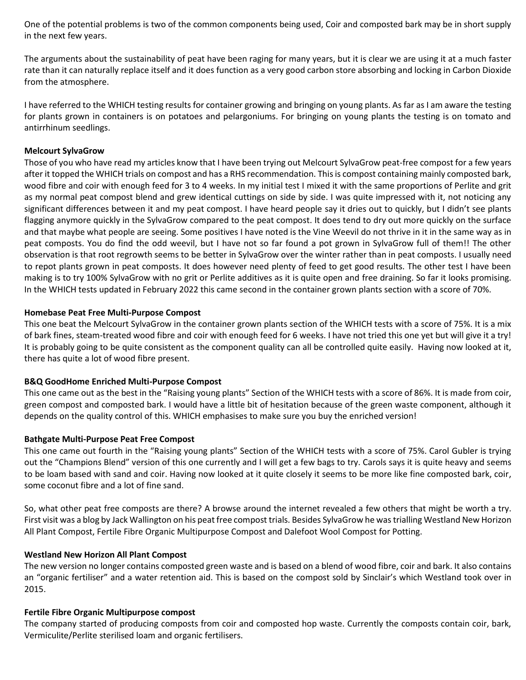One of the potential problems is two of the common components being used, Coir and composted bark may be in short supply in the next few years.

The arguments about the sustainability of peat have been raging for many years, but it is clear we are using it at a much faster rate than it can naturally replace itself and it does function as a very good carbon store absorbing and locking in Carbon Dioxide from the atmosphere.

I have referred to the WHICH testing results for container growing and bringing on young plants. As far as I am aware the testing for plants grown in containers is on potatoes and pelargoniums. For bringing on young plants the testing is on tomato and antirrhinum seedlings.

#### **Melcourt SylvaGrow**

Those of you who have read my articles know that I have been trying out Melcourt SylvaGrow peat-free compost for a few years after it topped the WHICH trials on compost and has a RHS recommendation. This is compost containing mainly composted bark, wood fibre and coir with enough feed for 3 to 4 weeks. In my initial test I mixed it with the same proportions of Perlite and grit as my normal peat compost blend and grew identical cuttings on side by side. I was quite impressed with it, not noticing any significant differences between it and my peat compost. I have heard people say it dries out to quickly, but I didn't see plants flagging anymore quickly in the SylvaGrow compared to the peat compost. It does tend to dry out more quickly on the surface and that maybe what people are seeing. Some positives I have noted is the Vine Weevil do not thrive in it in the same way as in peat composts. You do find the odd weevil, but I have not so far found a pot grown in SylvaGrow full of them!! The other observation is that root regrowth seems to be better in SylvaGrow over the winter rather than in peat composts. I usually need to repot plants grown in peat composts. It does however need plenty of feed to get good results. The other test I have been making is to try 100% SylvaGrow with no grit or Perlite additives as it is quite open and free draining. So far it looks promising. In the WHICH tests updated in February 2022 this came second in the container grown plants section with a score of 70%.

#### **Homebase Peat Free Multi-Purpose Compost**

This one beat the Melcourt SylvaGrow in the container grown plants section of the WHICH tests with a score of 75%. It is a mix of bark fines, steam-treated wood fibre and coir with enough feed for 6 weeks. I have not tried this one yet but will give it a try! It is probably going to be quite consistent as the component quality can all be controlled quite easily. Having now looked at it, there has quite a lot of wood fibre present.

#### **B&Q GoodHome Enriched Multi-Purpose Compost**

This one came out as the best in the "Raising young plants" Section of the WHICH tests with a score of 86%. It is made from coir, green compost and composted bark. I would have a little bit of hesitation because of the green waste component, although it depends on the quality control of this. WHICH emphasises to make sure you buy the enriched version!

#### **Bathgate Multi-Purpose Peat Free Compost**

This one came out fourth in the "Raising young plants" Section of the WHICH tests with a score of 75%. Carol Gubler is trying out the "Champions Blend" version of this one currently and I will get a few bags to try. Carols says it is quite heavy and seems to be loam based with sand and coir. Having now looked at it quite closely it seems to be more like fine composted bark, coir, some coconut fibre and a lot of fine sand.

So, what other peat free composts are there? A browse around the internet revealed a few others that might be worth a try. First visit was a blog by Jack Wallington on his peat free compost trials. Besides SylvaGrow he was trialling Westland New Horizon All Plant Compost, Fertile Fibre Organic Multipurpose Compost and Dalefoot Wool Compost for Potting.

#### **Westland New Horizon All Plant Compost**

The new version no longer contains composted green waste and is based on a blend of wood fibre, coir and bark. It also contains an "organic fertiliser" and a water retention aid. This is based on the compost sold by Sinclair's which Westland took over in 2015.

#### **Fertile Fibre Organic Multipurpose compost**

The company started of producing composts from coir and composted hop waste. Currently the composts contain coir, bark, Vermiculite/Perlite sterilised loam and organic fertilisers.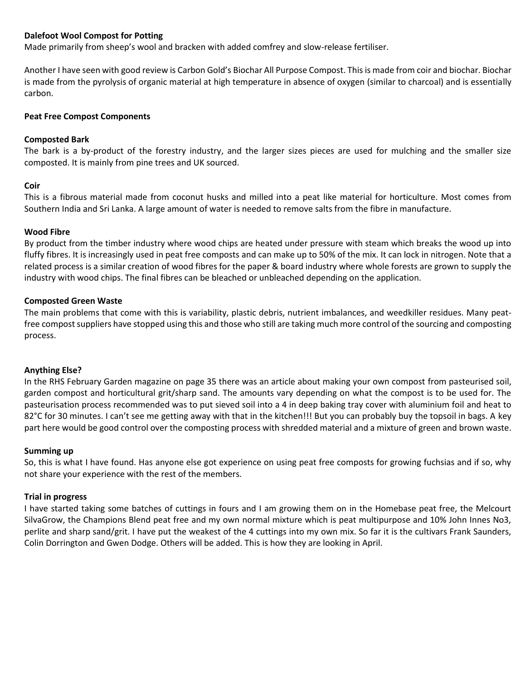#### **Dalefoot Wool Compost for Potting**

Made primarily from sheep's wool and bracken with added comfrey and slow-release fertiliser.

Another I have seen with good review is Carbon Gold's Biochar All Purpose Compost. This is made from coir and biochar. Biochar is made from the pyrolysis of organic material at high temperature in absence of oxygen (similar to charcoal) and is essentially carbon.

#### **Peat Free Compost Components**

#### **Composted Bark**

The bark is a by-product of the forestry industry, and the larger sizes pieces are used for mulching and the smaller size composted. It is mainly from pine trees and UK sourced.

#### **Coir**

This is a fibrous material made from coconut husks and milled into a peat like material for horticulture. Most comes from Southern India and Sri Lanka. A large amount of water is needed to remove salts from the fibre in manufacture.

#### **Wood Fibre**

By product from the timber industry where wood chips are heated under pressure with steam which breaks the wood up into fluffy fibres. It is increasingly used in peat free composts and can make up to 50% of the mix. It can lock in nitrogen. Note that a related process is a similar creation of wood fibres for the paper & board industry where whole forests are grown to supply the industry with wood chips. The final fibres can be bleached or unbleached depending on the application.

#### **Composted Green Waste**

The main problems that come with this is variability, plastic debris, nutrient imbalances, and weedkiller residues. Many peatfree compost suppliers have stopped using this and those who still are taking much more control of the sourcing and composting process.

#### **Anything Else?**

In the RHS February Garden magazine on page 35 there was an article about making your own compost from pasteurised soil, garden compost and horticultural grit/sharp sand. The amounts vary depending on what the compost is to be used for. The pasteurisation process recommended was to put sieved soil into a 4 in deep baking tray cover with aluminium foil and heat to 82°C for 30 minutes. I can't see me getting away with that in the kitchen!!! But you can probably buy the topsoil in bags. A key part here would be good control over the composting process with shredded material and a mixture of green and brown waste.

#### **Summing up**

So, this is what I have found. Has anyone else got experience on using peat free composts for growing fuchsias and if so, why not share your experience with the rest of the members.

#### **Trial in progress**

I have started taking some batches of cuttings in fours and I am growing them on in the Homebase peat free, the Melcourt SilvaGrow, the Champions Blend peat free and my own normal mixture which is peat multipurpose and 10% John Innes No3, perlite and sharp sand/grit. I have put the weakest of the 4 cuttings into my own mix. So far it is the cultivars Frank Saunders, Colin Dorrington and Gwen Dodge. Others will be added. This is how they are looking in April.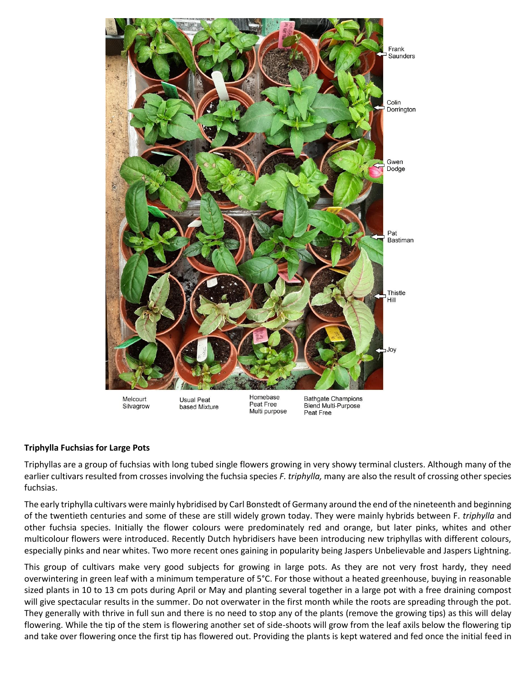

#### **Triphylla Fuchsias for Large Pots**

Triphyllas are a group of fuchsias with long tubed single flowers growing in very showy terminal clusters. Although many of the earlier cultivars resulted from crosses involving the fuchsia species *F. triphylla,* many are also the result of crossing other species fuchsias.

The early triphylla cultivars were mainly hybridised by Carl Bonstedt of Germany around the end of the nineteenth and beginning of the twentieth centuries and some of these are still widely grown today. They were mainly hybrids between F. *triphylla* and other fuchsia species. Initially the flower colours were predominately red and orange, but later pinks, whites and other multicolour flowers were introduced. Recently Dutch hybridisers have been introducing new triphyllas with different colours, especially pinks and near whites. Two more recent ones gaining in popularity being Jaspers Unbelievable and Jaspers Lightning.

This group of cultivars make very good subjects for growing in large pots. As they are not very frost hardy, they need overwintering in green leaf with a minimum temperature of 5°C. For those without a heated greenhouse, buying in reasonable sized plants in 10 to 13 cm pots during April or May and planting several together in a large pot with a free draining compost will give spectacular results in the summer. Do not overwater in the first month while the roots are spreading through the pot. They generally with thrive in full sun and there is no need to stop any of the plants (remove the growing tips) as this will delay flowering. While the tip of the stem is flowering another set of side-shoots will grow from the leaf axils below the flowering tip and take over flowering once the first tip has flowered out. Providing the plants is kept watered and fed once the initial feed in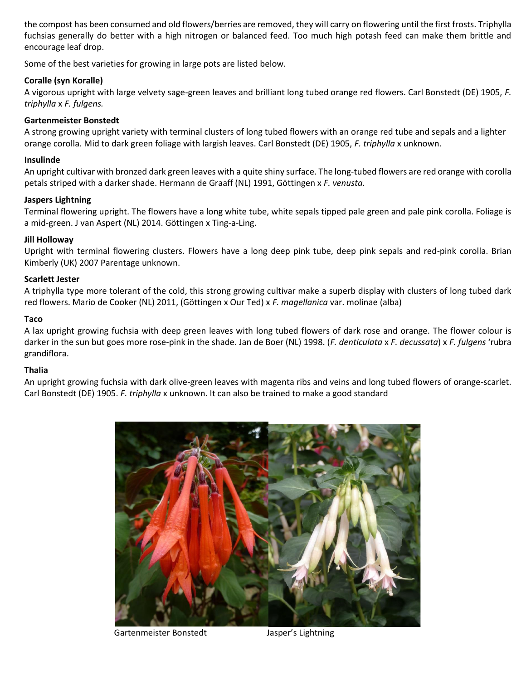the compost has been consumed and old flowers/berries are removed, they will carry on flowering until the first frosts. Triphylla fuchsias generally do better with a high nitrogen or balanced feed. Too much high potash feed can make them brittle and encourage leaf drop.

Some of the best varieties for growing in large pots are listed below.

#### **Coralle (syn Koralle)**

A vigorous upright with large velvety sage-green leaves and brilliant long tubed orange red flowers. Carl Bonstedt (DE) 1905, *F. triphylla* x *F. fulgens.*

#### **Gartenmeister Bonstedt**

A strong growing upright variety with terminal clusters of long tubed flowers with an orange red tube and sepals and a lighter orange corolla. Mid to dark green foliage with largish leaves. Carl Bonstedt (DE) 1905, *F. triphylla* x unknown.

#### **Insulinde**

An upright cultivar with bronzed dark green leaves with a quite shiny surface. The long-tubed flowers are red orange with corolla petals striped with a darker shade. Hermann de Graaff (NL) 1991, Göttingen x *F. venusta.*

#### **Jaspers Lightning**

Terminal flowering upright. The flowers have a long white tube, white sepals tipped pale green and pale pink corolla. Foliage is a mid-green. J van Aspert (NL) 2014. Göttingen x Ting-a-Ling.

#### **Jill Holloway**

Upright with terminal flowering clusters. Flowers have a long deep pink tube, deep pink sepals and red-pink corolla. Brian Kimberly (UK) 2007 Parentage unknown.

#### **Scarlett Jester**

A triphylla type more tolerant of the cold, this strong growing cultivar make a superb display with clusters of long tubed dark red flowers. Mario de Cooker (NL) 2011, (Göttingen x Our Ted) x *F. magellanica* var. molinae (alba)

#### **Taco**

A lax upright growing fuchsia with deep green leaves with long tubed flowers of dark rose and orange. The flower colour is darker in the sun but goes more rose-pink in the shade. Jan de Boer (NL) 1998. (*F. denticulata* x *F. decussata*) x *F. fulgens* 'rubra grandiflora.

#### **Thalia**

An upright growing fuchsia with dark olive-green leaves with magenta ribs and veins and long tubed flowers of orange-scarlet. Carl Bonstedt (DE) 1905. *F. triphylla* x unknown. It can also be trained to make a good standard



Gartenmeister Bonstedt Masper's Lightning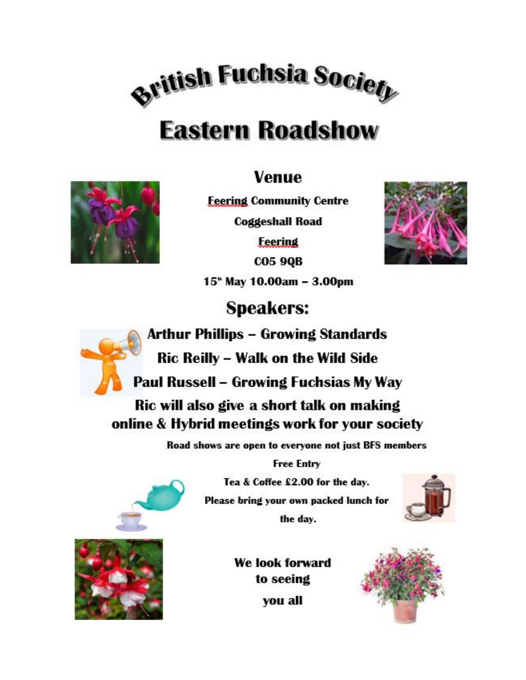

# **Eastern Roadshow**

# **Venue**



**Feering Community Centre** 

**Coggeshall Road** 

**Feering** 

**CO5 9QB** 15<sup>\*</sup> May 10.00am - 3.00pm



**Speakers:** 



**Arthur Phillips - Growing Standards** 

**Ric Reilly - Walk on the Wild Side** 

Paul Russell – Growing Fuchsias My Way

Ric will also give a short talk on making online & Hybrid meetings work for your society

Road shows are open to everyone not just BFS members

**Free Entry** 

Tea & Coffee £2.00 for the day. Please bring your own packed lunch for the day.





We look forward to seeing you all